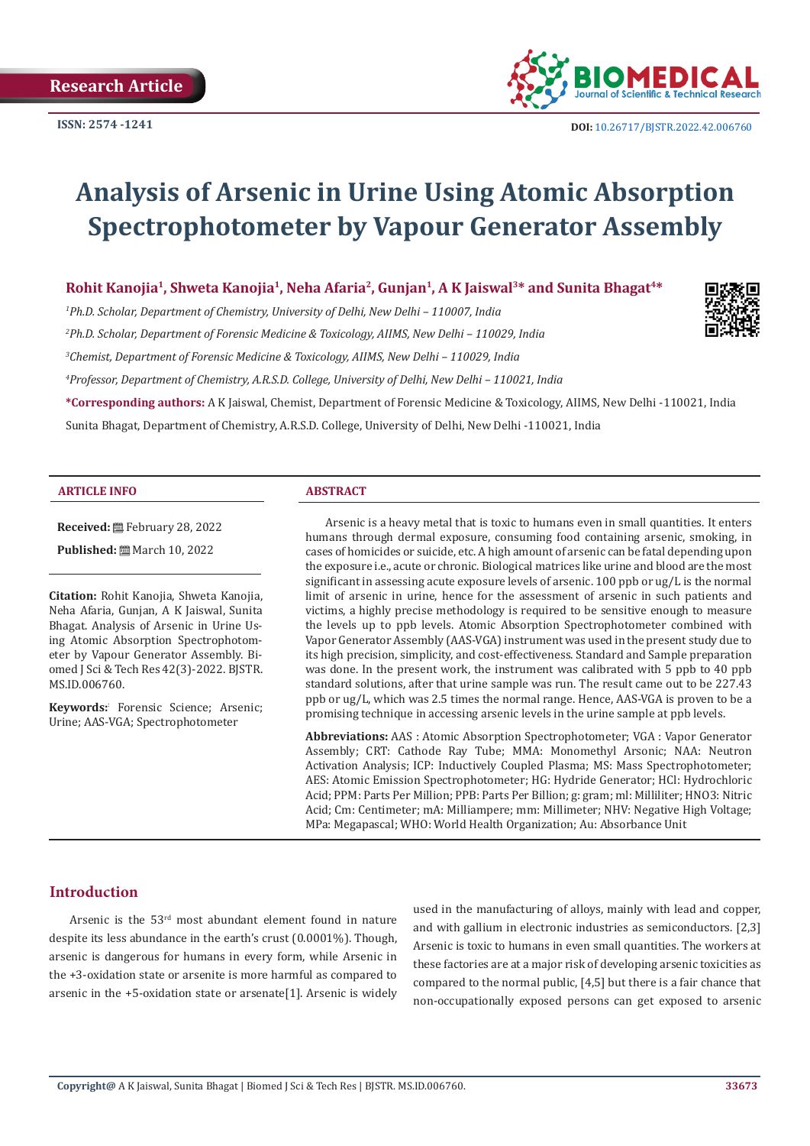

# **Analysis of Arsenic in Urine Using Atomic Absorption Spectrophotometer by Vapour Generator Assembly**

Rohit Kanojia<sup>1</sup>, Shweta Kanojia<sup>1</sup>, Neha Afaria<sup>2</sup>, Gunjan<sup>1</sup>, A K Jaiswal<sup>3\*</sup> and Sunita Bhagat<sup>4\*</sup>

*1 Ph.D. Scholar, Department of Chemistry, University of Delhi, New Delhi – 110007, India*

*2 Ph.D. Scholar, Department of Forensic Medicine & Toxicology, AIIMS, New Delhi – 110029, India*

*3 Chemist, Department of Forensic Medicine & Toxicology, AIIMS, New Delhi – 110029, India*

*4 Professor, Department of Chemistry, A.R.S.D. College, University of Delhi, New Delhi – 110021, India*

**\*Corresponding authors:** A K Jaiswal, Chemist, Department of Forensic Medicine & Toxicology, AIIMS, New Delhi -110021, India

Sunita Bhagat, Department of Chemistry, A.R.S.D. College, University of Delhi, New Delhi -110021, India

#### **ARTICLE INFO ABSTRACT**

**Received:** February 28, 2022

**Published:** ■ March 10, 2022

**Citation:** Rohit Kanojia, Shweta Kanojia, Neha Afaria, Gunjan, A K Jaiswal, Sunita Bhagat. Analysis of Arsenic in Urine Using Atomic Absorption Spectrophotometer by Vapour Generator Assembly. Biomed J Sci & Tech Res 42(3)-2022. BJSTR. MS.ID.006760.

**Keywords:**: Forensic Science; Arsenic; Urine; AAS-VGA; Spectrophotometer

Arsenic is a heavy metal that is toxic to humans even in small quantities. It enters humans through dermal exposure, consuming food containing arsenic, smoking, in cases of homicides or suicide, etc. A high amount of arsenic can be fatal depending upon the exposure i.e., acute or chronic. Biological matrices like urine and blood are the most significant in assessing acute exposure levels of arsenic. 100 ppb or ug/L is the normal limit of arsenic in urine, hence for the assessment of arsenic in such patients and victims, a highly precise methodology is required to be sensitive enough to measure the levels up to ppb levels. Atomic Absorption Spectrophotometer combined with Vapor Generator Assembly (AAS-VGA) instrument was used in the present study due to its high precision, simplicity, and cost-effectiveness. Standard and Sample preparation was done. In the present work, the instrument was calibrated with 5 ppb to 40 ppb standard solutions, after that urine sample was run. The result came out to be 227.43 ppb or ug/L, which was 2.5 times the normal range. Hence, AAS-VGA is proven to be a promising technique in accessing arsenic levels in the urine sample at ppb levels.

**Abbreviations:** AAS : Atomic Absorption Spectrophotometer; VGA : Vapor Generator Assembly; CRT: Cathode Ray Tube; MMA: Monomethyl Arsonic; NAA: Neutron Activation Analysis; ICP: Inductively Coupled Plasma; MS: Mass Spectrophotometer; AES: Atomic Emission Spectrophotometer; HG: Hydride Generator; HCl: Hydrochloric Acid; PPM: Parts Per Million; PPB: Parts Per Billion; g: gram; ml: Milliliter; HNO3: Nitric Acid; Cm: Centimeter; mA: Milliampere; mm: Millimeter; NHV: Negative High Voltage; MPa: Megapascal; WHO: World Health Organization; Au: Absorbance Unit

# **Introduction**

Arsenic is the 53rd most abundant element found in nature despite its less abundance in the earth's crust (0.0001%). Though, arsenic is dangerous for humans in every form, while Arsenic in the +3-oxidation state or arsenite is more harmful as compared to arsenic in the +5-oxidation state or arsenate[1]. Arsenic is widely used in the manufacturing of alloys, mainly with lead and copper, and with gallium in electronic industries as semiconductors. [2,3] Arsenic is toxic to humans in even small quantities. The workers at these factories are at a major risk of developing arsenic toxicities as compared to the normal public, [4,5] but there is a fair chance that non-occupationally exposed persons can get exposed to arsenic

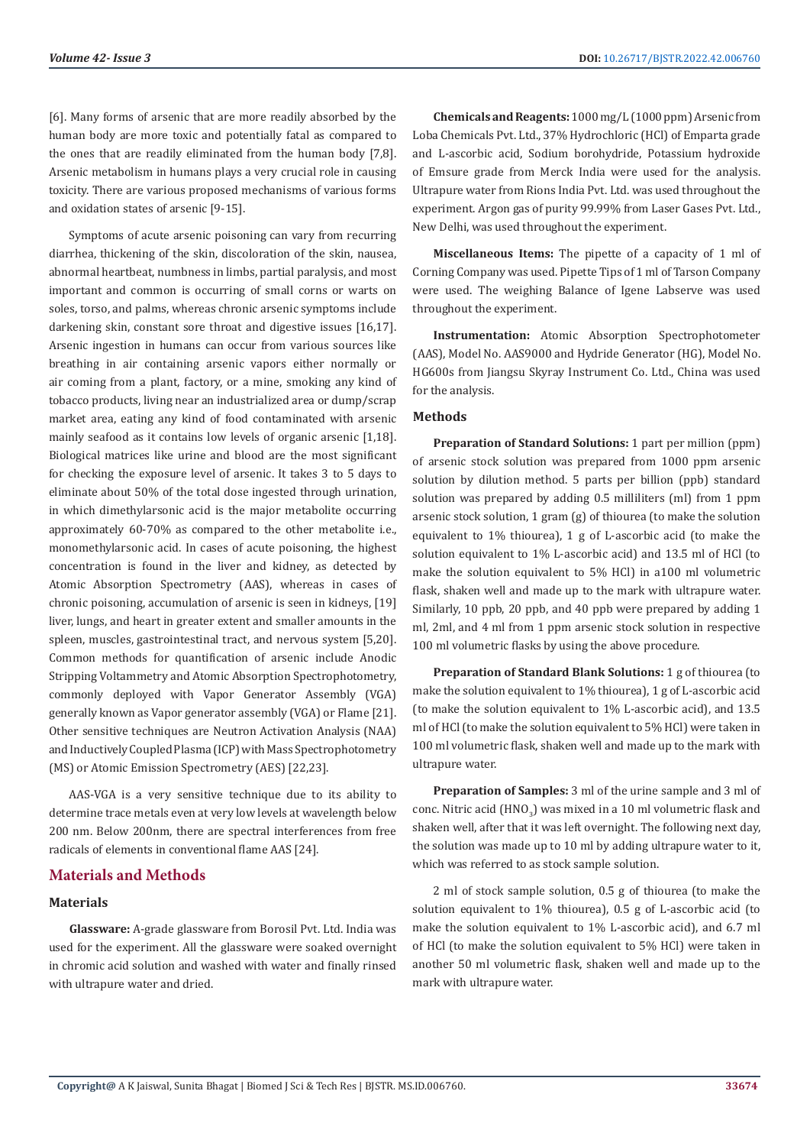[6]. Many forms of arsenic that are more readily absorbed by the human body are more toxic and potentially fatal as compared to the ones that are readily eliminated from the human body [7,8]. Arsenic metabolism in humans plays a very crucial role in causing toxicity. There are various proposed mechanisms of various forms and oxidation states of arsenic [9-15].

Symptoms of acute arsenic poisoning can vary from recurring diarrhea, thickening of the skin, discoloration of the skin, nausea, abnormal heartbeat, numbness in limbs, partial paralysis, and most important and common is occurring of small corns or warts on soles, torso, and palms, whereas chronic arsenic symptoms include darkening skin, constant sore throat and digestive issues [16,17]. Arsenic ingestion in humans can occur from various sources like breathing in air containing arsenic vapors either normally or air coming from a plant, factory, or a mine, smoking any kind of tobacco products, living near an industrialized area or dump/scrap market area, eating any kind of food contaminated with arsenic mainly seafood as it contains low levels of organic arsenic [1,18]. Biological matrices like urine and blood are the most significant for checking the exposure level of arsenic. It takes 3 to 5 days to eliminate about 50% of the total dose ingested through urination, in which dimethylarsonic acid is the major metabolite occurring approximately 60-70% as compared to the other metabolite i.e., monomethylarsonic acid. In cases of acute poisoning, the highest concentration is found in the liver and kidney, as detected by Atomic Absorption Spectrometry (AAS), whereas in cases of chronic poisoning, accumulation of arsenic is seen in kidneys, [19] liver, lungs, and heart in greater extent and smaller amounts in the spleen, muscles, gastrointestinal tract, and nervous system [5,20]. Common methods for quantification of arsenic include Anodic Stripping Voltammetry and Atomic Absorption Spectrophotometry, commonly deployed with Vapor Generator Assembly (VGA) generally known as Vapor generator assembly (VGA) or Flame [21]. Other sensitive techniques are Neutron Activation Analysis (NAA) and Inductively Coupled Plasma (ICP) with Mass Spectrophotometry (MS) or Atomic Emission Spectrometry (AES) [22,23].

AAS-VGA is a very sensitive technique due to its ability to determine trace metals even at very low levels at wavelength below 200 nm. Below 200nm, there are spectral interferences from free radicals of elements in conventional flame AAS [24].

# **Materials and Methods**

#### **Materials**

**Glassware:** A-grade glassware from Borosil Pvt. Ltd. India was used for the experiment. All the glassware were soaked overnight in chromic acid solution and washed with water and finally rinsed with ultrapure water and dried.

**Chemicals and Reagents:** 1000 mg/L (1000 ppm) Arsenic from Loba Chemicals Pvt. Ltd., 37% Hydrochloric (HCl) of Emparta grade and L-ascorbic acid, Sodium borohydride, Potassium hydroxide of Emsure grade from Merck India were used for the analysis. Ultrapure water from Rions India Pvt. Ltd. was used throughout the experiment. Argon gas of purity 99.99% from Laser Gases Pvt. Ltd., New Delhi, was used throughout the experiment.

**Miscellaneous Items:** The pipette of a capacity of 1 ml of Corning Company was used. Pipette Tips of 1 ml of Tarson Company were used. The weighing Balance of Igene Labserve was used throughout the experiment.

**Instrumentation:** Atomic Absorption Spectrophotometer (AAS), Model No. AAS9000 and Hydride Generator (HG), Model No. HG600s from Jiangsu Skyray Instrument Co. Ltd., China was used for the analysis.

#### **Methods**

**Preparation of Standard Solutions:** 1 part per million (ppm) of arsenic stock solution was prepared from 1000 ppm arsenic solution by dilution method. 5 parts per billion (ppb) standard solution was prepared by adding 0.5 milliliters (ml) from 1 ppm arsenic stock solution, 1 gram (g) of thiourea (to make the solution equivalent to 1% thiourea), 1 g of L-ascorbic acid (to make the solution equivalent to 1% L-ascorbic acid) and 13.5 ml of HCl (to make the solution equivalent to 5% HCl) in a100 ml volumetric flask, shaken well and made up to the mark with ultrapure water. Similarly, 10 ppb, 20 ppb, and 40 ppb were prepared by adding 1 ml, 2ml, and 4 ml from 1 ppm arsenic stock solution in respective 100 ml volumetric flasks by using the above procedure.

**Preparation of Standard Blank Solutions:** 1 g of thiourea (to make the solution equivalent to 1% thiourea), 1 g of L-ascorbic acid (to make the solution equivalent to 1% L-ascorbic acid), and 13.5 ml of HCl (to make the solution equivalent to 5% HCl) were taken in 100 ml volumetric flask, shaken well and made up to the mark with ultrapure water.

**Preparation of Samples:** 3 ml of the urine sample and 3 ml of conc. Nitric acid  $\rm(HNO_{3})$  was mixed in a  $\rm{10}$  ml volumetric flask and shaken well, after that it was left overnight. The following next day, the solution was made up to 10 ml by adding ultrapure water to it, which was referred to as stock sample solution.

2 ml of stock sample solution, 0.5 g of thiourea (to make the solution equivalent to 1% thiourea), 0.5 g of L-ascorbic acid (to make the solution equivalent to 1% L-ascorbic acid), and 6.7 ml of HCl (to make the solution equivalent to 5% HCl) were taken in another 50 ml volumetric flask, shaken well and made up to the mark with ultrapure water.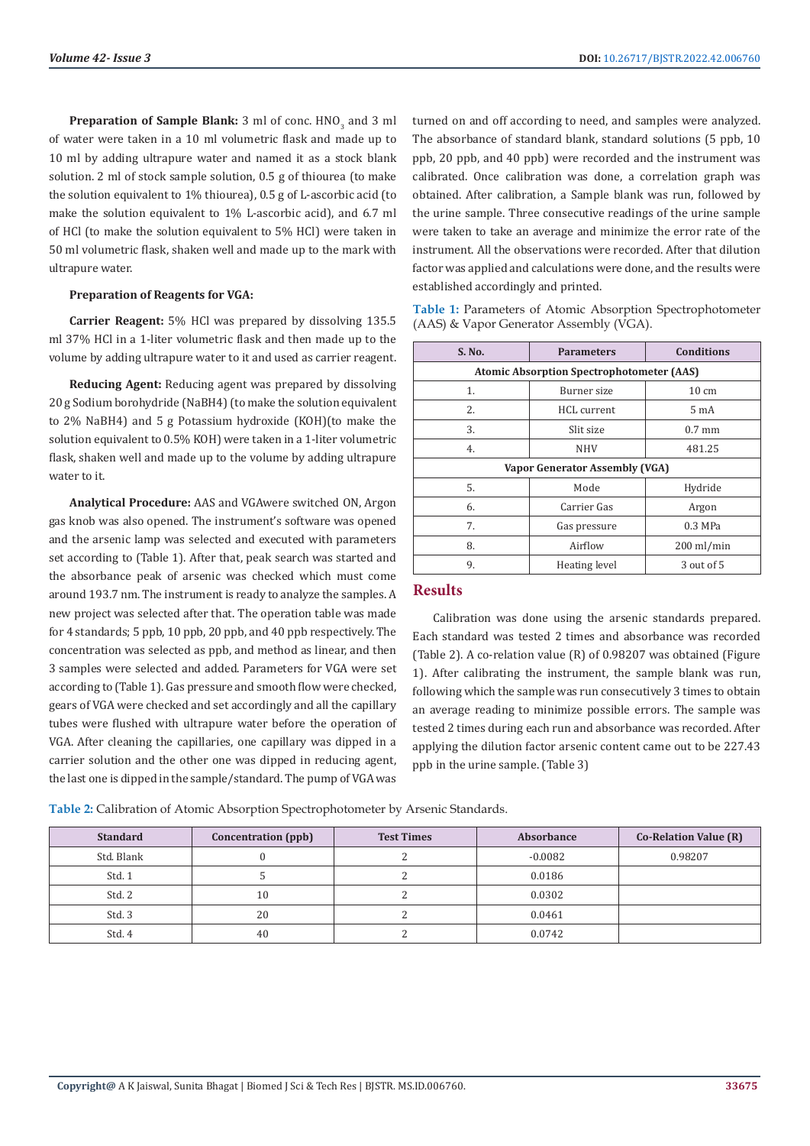**Preparation of Sample Blank:** 3 ml of conc. HNO<sub>3</sub> and 3 ml of water were taken in a 10 ml volumetric flask and made up to 10 ml by adding ultrapure water and named it as a stock blank solution. 2 ml of stock sample solution, 0.5 g of thiourea (to make the solution equivalent to 1% thiourea), 0.5 g of L-ascorbic acid (to make the solution equivalent to 1% L-ascorbic acid), and 6.7 ml of HCl (to make the solution equivalent to 5% HCl) were taken in 50 ml volumetric flask, shaken well and made up to the mark with ultrapure water.

#### **Preparation of Reagents for VGA:**

**Carrier Reagent:** 5% HCl was prepared by dissolving 135.5 ml 37% HCl in a 1-liter volumetric flask and then made up to the volume by adding ultrapure water to it and used as carrier reagent.

**Reducing Agent:** Reducing agent was prepared by dissolving 20 g Sodium borohydride (NaBH4) (to make the solution equivalent to 2% NaBH4) and 5 g Potassium hydroxide (KOH)(to make the solution equivalent to 0.5% KOH) were taken in a 1-liter volumetric flask, shaken well and made up to the volume by adding ultrapure water to it.

**Analytical Procedure:** AAS and VGAwere switched ON, Argon gas knob was also opened. The instrument's software was opened and the arsenic lamp was selected and executed with parameters set according to (Table 1). After that, peak search was started and the absorbance peak of arsenic was checked which must come around 193.7 nm. The instrument is ready to analyze the samples. A new project was selected after that. The operation table was made for 4 standards; 5 ppb, 10 ppb, 20 ppb, and 40 ppb respectively. The concentration was selected as ppb, and method as linear, and then 3 samples were selected and added. Parameters for VGA were set according to (Table 1). Gas pressure and smooth flow were checked, gears of VGA were checked and set accordingly and all the capillary tubes were flushed with ultrapure water before the operation of VGA. After cleaning the capillaries, one capillary was dipped in a carrier solution and the other one was dipped in reducing agent, the last one is dipped in the sample/standard. The pump of VGA was

turned on and off according to need, and samples were analyzed. The absorbance of standard blank, standard solutions (5 ppb, 10 ppb, 20 ppb, and 40 ppb) were recorded and the instrument was calibrated. Once calibration was done, a correlation graph was obtained. After calibration, a Sample blank was run, followed by the urine sample. Three consecutive readings of the urine sample were taken to take an average and minimize the error rate of the instrument. All the observations were recorded. After that dilution factor was applied and calculations were done, and the results were established accordingly and printed.

**Table 1:** Parameters of Atomic Absorption Spectrophotometer (AAS) & Vapor Generator Assembly (VGA).

| S. No.                                           | <b>Parameters</b>  | <b>Conditions</b> |  |  |  |  |
|--------------------------------------------------|--------------------|-------------------|--|--|--|--|
| <b>Atomic Absorption Spectrophotometer (AAS)</b> |                    |                   |  |  |  |  |
| 1.                                               | Burner size        | $10 \text{ cm}$   |  |  |  |  |
| 2.                                               | <b>HCL</b> current | 5 mA              |  |  |  |  |
| 3.                                               | Slit size          | $0.7$ mm          |  |  |  |  |
| 4.                                               | <b>NHV</b>         | 481.25            |  |  |  |  |
| Vapor Generator Assembly (VGA)                   |                    |                   |  |  |  |  |
| 5.                                               | Mode               | Hydride           |  |  |  |  |
| 6.                                               | Carrier Gas        | Argon             |  |  |  |  |
| 7.                                               | Gas pressure       | $0.3$ MPa         |  |  |  |  |
| 8.                                               | Airflow            | $200$ ml/min      |  |  |  |  |
| 9.                                               | Heating level      | 3 out of 5        |  |  |  |  |

# **Results**

Calibration was done using the arsenic standards prepared. Each standard was tested 2 times and absorbance was recorded (Table 2). A co-relation value (R) of 0.98207 was obtained (Figure 1). After calibrating the instrument, the sample blank was run, following which the sample was run consecutively 3 times to obtain an average reading to minimize possible errors. The sample was tested 2 times during each run and absorbance was recorded. After applying the dilution factor arsenic content came out to be 227.43 ppb in the urine sample. (Table 3)

**Table 2:** Calibration of Atomic Absorption Spectrophotometer by Arsenic Standards.

| <b>Standard</b> | Concentration (ppb) | <b>Test Times</b> | Absorbance | <b>Co-Relation Value (R)</b> |
|-----------------|---------------------|-------------------|------------|------------------------------|
| Std. Blank      |                     |                   | $-0.0082$  | 0.98207                      |
| Std. 1          |                     |                   | 0.0186     |                              |
| Std. 2          | 10                  |                   | 0.0302     |                              |
| Std. 3          | 20                  |                   | 0.0461     |                              |
| Std. 4          | 40                  |                   | 0.0742     |                              |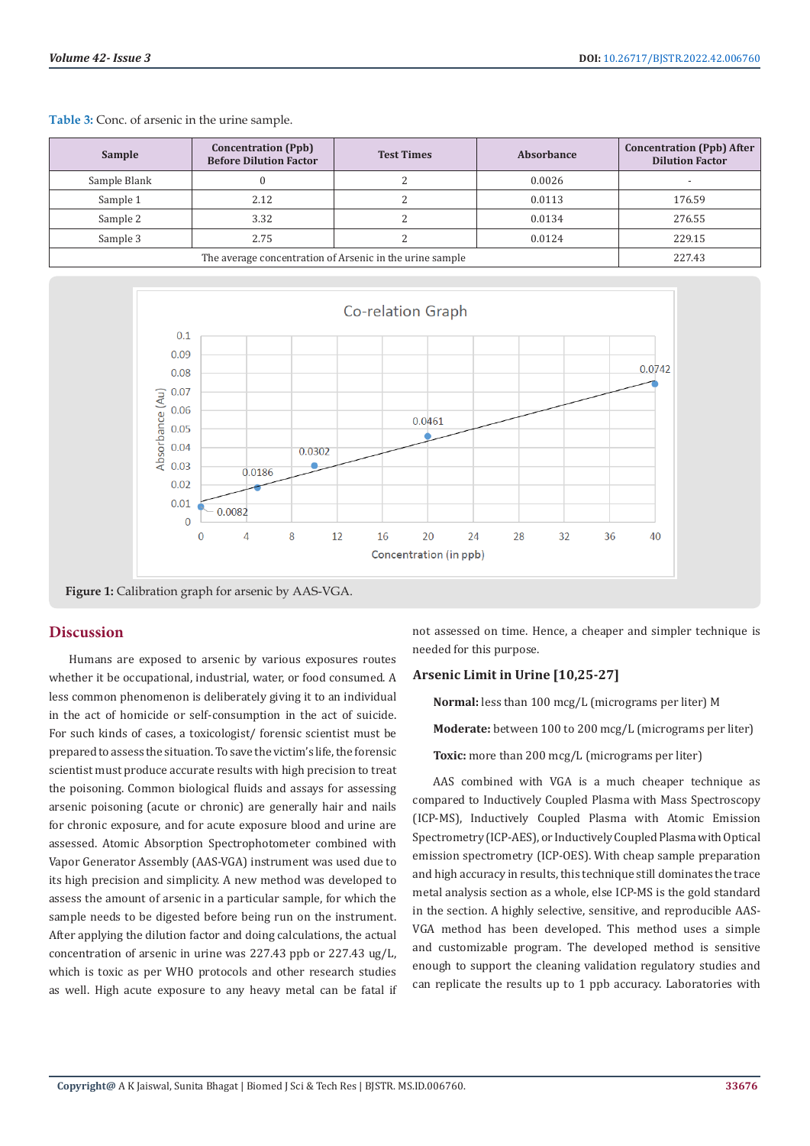| Sample                                                   | <b>Concentration (Ppb)</b><br><b>Before Dilution Factor</b> | <b>Test Times</b> | Absorbance | <b>Concentration (Ppb) After</b><br><b>Dilution Factor</b> |
|----------------------------------------------------------|-------------------------------------------------------------|-------------------|------------|------------------------------------------------------------|
| Sample Blank                                             |                                                             |                   | 0.0026     |                                                            |
| Sample 1                                                 | 2.12                                                        |                   | 0.0113     | 176.59                                                     |
| Sample 2                                                 | 3.32                                                        |                   | 0.0134     | 276.55                                                     |
| Sample 3                                                 | 2.75                                                        |                   | 0.0124     | 229.15                                                     |
| The average concentration of Arsenic in the urine sample |                                                             |                   |            | 227.43                                                     |

**Table 3:** Conc. of arsenic in the urine sample.



**Figure 1:** Calibration graph for arsenic by AAS-VGA.

### **Discussion**

Humans are exposed to arsenic by various exposures routes whether it be occupational, industrial, water, or food consumed. A less common phenomenon is deliberately giving it to an individual in the act of homicide or self-consumption in the act of suicide. For such kinds of cases, a toxicologist/ forensic scientist must be prepared to assess the situation. To save the victim's life, the forensic scientist must produce accurate results with high precision to treat the poisoning. Common biological fluids and assays for assessing arsenic poisoning (acute or chronic) are generally hair and nails for chronic exposure, and for acute exposure blood and urine are assessed. Atomic Absorption Spectrophotometer combined with Vapor Generator Assembly (AAS-VGA) instrument was used due to its high precision and simplicity. A new method was developed to assess the amount of arsenic in a particular sample, for which the sample needs to be digested before being run on the instrument. After applying the dilution factor and doing calculations, the actual concentration of arsenic in urine was 227.43 ppb or 227.43 ug/L, which is toxic as per WHO protocols and other research studies as well. High acute exposure to any heavy metal can be fatal if not assessed on time. Hence, a cheaper and simpler technique is needed for this purpose.

### **Arsenic Limit in Urine [10,25-27]**

**Normal:** less than 100 mcg/L (micrograms per liter) M

**Moderate:** between 100 to 200 mcg/L (micrograms per liter)

**Toxic:** more than 200 mcg/L (micrograms per liter)

AAS combined with VGA is a much cheaper technique as compared to Inductively Coupled Plasma with Mass Spectroscopy (ICP-MS), Inductively Coupled Plasma with Atomic Emission Spectrometry (ICP-AES), or Inductively Coupled Plasma with Optical emission spectrometry (ICP-OES). With cheap sample preparation and high accuracy in results, this technique still dominates the trace metal analysis section as a whole, else ICP-MS is the gold standard in the section. A highly selective, sensitive, and reproducible AAS-VGA method has been developed. This method uses a simple and customizable program. The developed method is sensitive enough to support the cleaning validation regulatory studies and can replicate the results up to 1 ppb accuracy. Laboratories with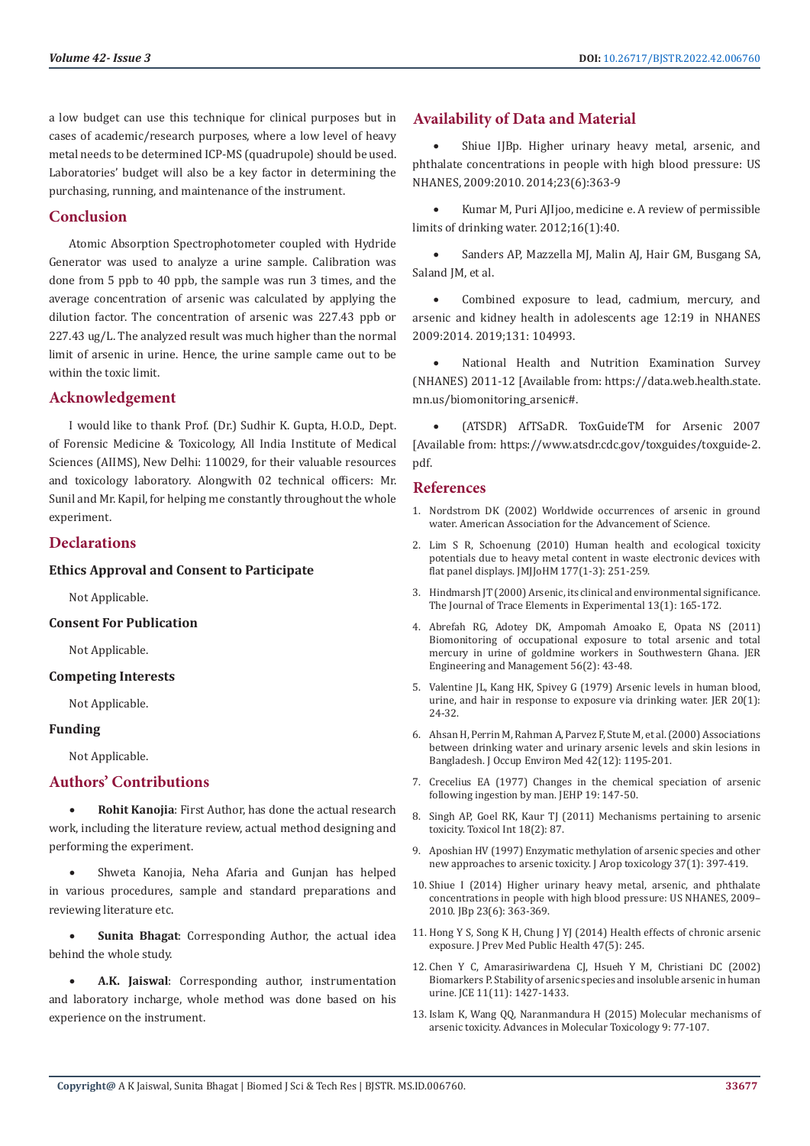a low budget can use this technique for clinical purposes but in cases of academic/research purposes, where a low level of heavy metal needs to be determined ICP-MS (quadrupole) should be used. Laboratories' budget will also be a key factor in determining the purchasing, running, and maintenance of the instrument.

# **Conclusion**

Atomic Absorption Spectrophotometer coupled with Hydride Generator was used to analyze a urine sample. Calibration was done from 5 ppb to 40 ppb, the sample was run 3 times, and the average concentration of arsenic was calculated by applying the dilution factor. The concentration of arsenic was 227.43 ppb or 227.43 ug/L. The analyzed result was much higher than the normal limit of arsenic in urine. Hence, the urine sample came out to be within the toxic limit.

### **Acknowledgement**

I would like to thank Prof. (Dr.) Sudhir K. Gupta, H.O.D., Dept. of Forensic Medicine & Toxicology, All India Institute of Medical Sciences (AIIMS), New Delhi: 110029, for their valuable resources and toxicology laboratory. Alongwith 02 technical officers: Mr. Sunil and Mr. Kapil, for helping me constantly throughout the whole experiment.

# **Declarations**

#### **Ethics Approval and Consent to Participate**

Not Applicable.

#### **Consent For Publication**

Not Applicable.

#### **Competing Interests**

Not Applicable.

#### **Funding**

Not Applicable.

### **Authors' Contributions**

**Rohit Kanojia:** First Author, has done the actual research work, including the literature review, actual method designing and performing the experiment.

Shweta Kanojia, Neha Afaria and Gunjan has helped in various procedures, sample and standard preparations and reviewing literature etc.

**Sunita Bhagat:** Corresponding Author, the actual idea behind the whole study.

A.K. **Jaiswal**: Corresponding author, instrumentation and laboratory incharge, whole method was done based on his experience on the instrument.

# **Availability of Data and Material**

Shiue IIBp. Higher urinary heavy metal, arsenic, and phthalate concentrations in people with high blood pressure: US NHANES, 2009:2010. 2014;23(6):363-9

Kumar M, Puri AJIjoo, medicine e. A review of permissible limits of drinking water. 2012;16(1):40.

Sanders AP, Mazzella MJ, Malin AJ, Hair GM, Busgang SA, Saland IM, et al.

Combined exposure to lead, cadmium, mercury, and arsenic and kidney health in adolescents age 12:19 in NHANES 2009:2014. 2019;131: 104993.

National Health and Nutrition Examination Survey (NHANES) 2011-12 [Available from: https://data.web.health.state. mn.us/biomonitoring\_arsenic#.

(ATSDR) AfTSaDR. ToxGuideTM for Arsenic 2007 [Available from: https://www.atsdr.cdc.gov/toxguides/toxguide-2. pdf.

#### **References**

- 1. [Nordstrom DK \(2002\) Worldwide occurrences of arsenic in ground](https://www.science.org/doi/abs/10.1126/science.1072375) [water. American Association for the Advancement of Science.](https://www.science.org/doi/abs/10.1126/science.1072375)
- 2. [Lim S R, Schoenung \(2010\) Human health and ecological toxicity](https://www.sciencedirect.com/science/article/abs/pii/S0304389409019967) [potentials due to heavy metal content in waste electronic devices with](https://www.sciencedirect.com/science/article/abs/pii/S0304389409019967) [flat panel displays. JMJJoHM 177\(1-3\): 251-259.](https://www.sciencedirect.com/science/article/abs/pii/S0304389409019967)
- 3. [Hindmarsh JT \(2000\) Arsenic, its clinical and environmental significance.](https://www.researchgate.net/publication/229590145_Arsenic_its_clinical_and_environmental_significance) [The Journal of Trace Elements in Experimental 13\(1\): 165-172.](https://www.researchgate.net/publication/229590145_Arsenic_its_clinical_and_environmental_significance)
- 4. [Abrefah RG, Adotey DK, Ampomah Amoako E, Opata NS \(2011\)](https://www.researchgate.net/publication/276046882_Biomonitoring_of_Occupational_Exposure_to_Total_Arsenic_and_Total_Mercury_in_Urine_of_Goldmine_Workers_in_Southwestern_Ghana) [Biomonitoring of occupational exposure to total arsenic and total](https://www.researchgate.net/publication/276046882_Biomonitoring_of_Occupational_Exposure_to_Total_Arsenic_and_Total_Mercury_in_Urine_of_Goldmine_Workers_in_Southwestern_Ghana) [mercury in urine of goldmine workers in Southwestern Ghana. JER](https://www.researchgate.net/publication/276046882_Biomonitoring_of_Occupational_Exposure_to_Total_Arsenic_and_Total_Mercury_in_Urine_of_Goldmine_Workers_in_Southwestern_Ghana) [Engineering and Management 56\(2\): 43-48.](https://www.researchgate.net/publication/276046882_Biomonitoring_of_Occupational_Exposure_to_Total_Arsenic_and_Total_Mercury_in_Urine_of_Goldmine_Workers_in_Southwestern_Ghana)
- 5. [Valentine JL, Kang HK, Spivey G \(1979\) Arsenic levels in human blood,](https://pubmed.ncbi.nlm.nih.gov/499171/) [urine, and hair in response to exposure via drinking water. JER 20\(1\):](https://pubmed.ncbi.nlm.nih.gov/499171/) [24-32.](https://pubmed.ncbi.nlm.nih.gov/499171/)
- 6. [Ahsan H, Perrin M, Rahman A, Parvez F, Stute M, et al. \(2000\) Associations](https://pubmed.ncbi.nlm.nih.gov/11125683/) [between drinking water and urinary arsenic levels and skin lesions in](https://pubmed.ncbi.nlm.nih.gov/11125683/) [Bangladesh. J Occup Environ Med 42\(12\): 1195-201.](https://pubmed.ncbi.nlm.nih.gov/11125683/)
- 7. [Crecelius EA \(1977\) Changes in the chemical speciation of arsenic](https://pubmed.ncbi.nlm.nih.gov/908293/) [following ingestion by man. JEHP 19: 147-50.](https://pubmed.ncbi.nlm.nih.gov/908293/)
- 8. [Singh AP, Goel RK, Kaur TJ \(2011\) Mechanisms pertaining to arsenic](https://pubmed.ncbi.nlm.nih.gov/21976811/) [toxicity. Toxicol Int 18\(2\): 87.](https://pubmed.ncbi.nlm.nih.gov/21976811/)
- 9. [Aposhian HV \(1997\) Enzymatic methylation of arsenic species and other](https://pubmed.ncbi.nlm.nih.gov/9131259/) [new approaches to arsenic toxicity. J Arop toxicology 37\(1\): 397-419.](https://pubmed.ncbi.nlm.nih.gov/9131259/)
- 10. [Shiue I \(2014\) Higher urinary heavy metal, arsenic, and phthalate](https://pubmed.ncbi.nlm.nih.gov/24945898/) [concentrations in people with high blood pressure: US NHANES, 2009–](https://pubmed.ncbi.nlm.nih.gov/24945898/) [2010. JBp 23\(6\): 363-369.](https://pubmed.ncbi.nlm.nih.gov/24945898/)
- 11. [Hong Y S, Song K H, Chung J YJ \(2014\) Health effects of chronic arsenic](https://www.ncbi.nlm.nih.gov/labs/pmc/articles/PMC4186552/) [exposure. J Prev Med Public Health 47\(5\): 245.](https://www.ncbi.nlm.nih.gov/labs/pmc/articles/PMC4186552/)
- 12. [Chen Y C, Amarasiriwardena CJ, Hsueh Y M, Christiani DC \(2002\)](https://pubmed.ncbi.nlm.nih.gov/12433722/) [Biomarkers P. Stability of arsenic species and insoluble arsenic in human](https://pubmed.ncbi.nlm.nih.gov/12433722/) [urine. JCE 11\(11\): 1427-1433.](https://pubmed.ncbi.nlm.nih.gov/12433722/)
- 13. [Islam K, Wang QQ, Naranmandura H \(2015\) Molecular mechanisms of](https://www.sciencedirect.com/science/article/abs/pii/B9780128022290000025) [arsenic toxicity. Advances in Molecular Toxicology 9: 77-107.](https://www.sciencedirect.com/science/article/abs/pii/B9780128022290000025)